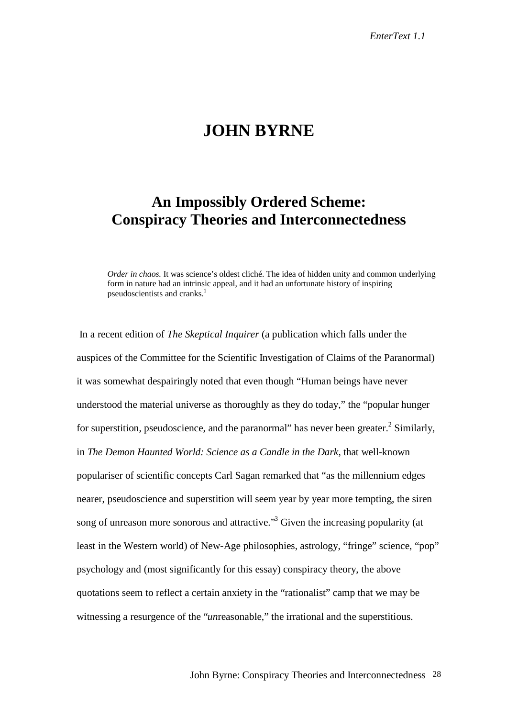## **JOHN BYRNE**

## **An Impossibly Ordered Scheme: Conspiracy Theories and Interconnectedness**

*Order in chaos.* It was science's oldest cliché. The idea of hidden unity and common underlying form in nature had an intrinsic appeal, and it had an unfortunate history of inspiring pseudoscientists and cranks.<sup>1</sup>

 In a recent edition of *The Skeptical Inquirer* (a publication which falls under the auspices of the Committee for the Scientific Investigation of Claims of the Paranormal) it was somewhat despairingly noted that even though "Human beings have never understood the material universe as thoroughly as they do today," the "popular hunger for superstition, pseudoscience, and the paranormal" has never been greater.<sup>2</sup> Similarly, in *The Demon Haunted World: Science as a Candle in the Dark,* that well-known populariser of scientific concepts Carl Sagan remarked that "as the millennium edges nearer, pseudoscience and superstition will seem year by year more tempting, the siren song of unreason more sonorous and attractive."<sup>3</sup> Given the increasing popularity (at least in the Western world) of New-Age philosophies, astrology, "fringe" science, "pop" psychology and (most significantly for this essay) conspiracy theory, the above quotations seem to reflect a certain anxiety in the "rationalist" camp that we may be witnessing a resurgence of the "*un*reasonable," the irrational and the superstitious.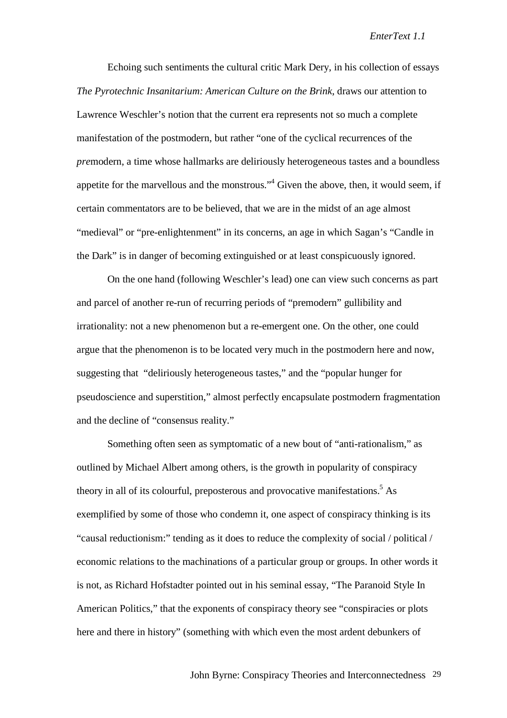Echoing such sentiments the cultural critic Mark Dery, in his collection of essays *The Pyrotechnic Insanitarium: American Culture on the Brink*, draws our attention to Lawrence Weschler's notion that the current era represents not so much a complete manifestation of the postmodern, but rather "one of the cyclical recurrences of the *pre*modern, a time whose hallmarks are deliriously heterogeneous tastes and a boundless appetite for the marvellous and the monstrous."<sup>4</sup> Given the above, then, it would seem, if certain commentators are to be believed, that we are in the midst of an age almost "medieval" or "pre-enlightenment" in its concerns, an age in which Sagan's "Candle in the Dark" is in danger of becoming extinguished or at least conspicuously ignored.

On the one hand (following Weschler's lead) one can view such concerns as part and parcel of another re-run of recurring periods of "premodern" gullibility and irrationality: not a new phenomenon but a re-emergent one. On the other, one could argue that the phenomenon is to be located very much in the postmodern here and now, suggesting that "deliriously heterogeneous tastes," and the "popular hunger for pseudoscience and superstition," almost perfectly encapsulate postmodern fragmentation and the decline of "consensus reality."

Something often seen as symptomatic of a new bout of "anti-rationalism," as outlined by Michael Albert among others, is the growth in popularity of conspiracy theory in all of its colourful, preposterous and provocative manifestations.<sup>5</sup> As exemplified by some of those who condemn it, one aspect of conspiracy thinking is its "causal reductionism:" tending as it does to reduce the complexity of social / political / economic relations to the machinations of a particular group or groups. In other words it is not, as Richard Hofstadter pointed out in his seminal essay, "The Paranoid Style In American Politics," that the exponents of conspiracy theory see "conspiracies or plots here and there in history" (something with which even the most ardent debunkers of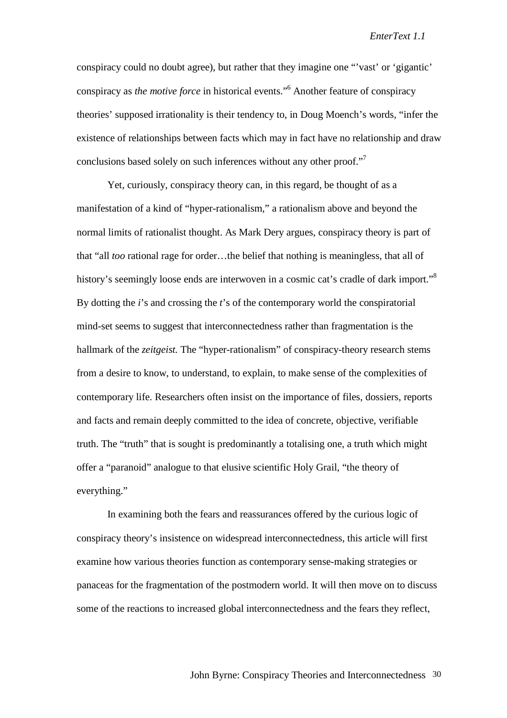conspiracy could no doubt agree), but rather that they imagine one "'vast' or 'gigantic' conspiracy as *the motive force* in historical events."6 Another feature of conspiracy theories' supposed irrationality is their tendency to, in Doug Moench's words, "infer the existence of relationships between facts which may in fact have no relationship and draw conclusions based solely on such inferences without any other proof."

Yet, curiously, conspiracy theory can, in this regard, be thought of as a manifestation of a kind of "hyper-rationalism," a rationalism above and beyond the normal limits of rationalist thought. As Mark Dery argues, conspiracy theory is part of that "all *too* rational rage for order…the belief that nothing is meaningless, that all of history's seemingly loose ends are interwoven in a cosmic cat's cradle of dark import."<sup>8</sup> By dotting the *i*'s and crossing the *t*'s of the contemporary world the conspiratorial mind-set seems to suggest that interconnectedness rather than fragmentation is the hallmark of the *zeitgeist*. The "hyper-rationalism" of conspiracy-theory research stems from a desire to know, to understand, to explain, to make sense of the complexities of contemporary life. Researchers often insist on the importance of files, dossiers, reports and facts and remain deeply committed to the idea of concrete, objective, verifiable truth. The "truth" that is sought is predominantly a totalising one, a truth which might offer a "paranoid" analogue to that elusive scientific Holy Grail, "the theory of everything."

In examining both the fears and reassurances offered by the curious logic of conspiracy theory's insistence on widespread interconnectedness, this article will first examine how various theories function as contemporary sense-making strategies or panaceas for the fragmentation of the postmodern world. It will then move on to discuss some of the reactions to increased global interconnectedness and the fears they reflect,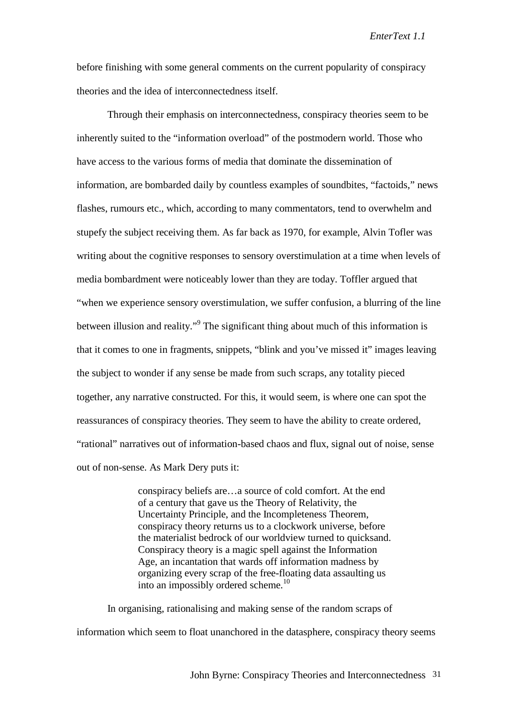before finishing with some general comments on the current popularity of conspiracy theories and the idea of interconnectedness itself.

Through their emphasis on interconnectedness, conspiracy theories seem to be inherently suited to the "information overload" of the postmodern world. Those who have access to the various forms of media that dominate the dissemination of information, are bombarded daily by countless examples of soundbites, "factoids," news flashes, rumours etc., which, according to many commentators, tend to overwhelm and stupefy the subject receiving them. As far back as 1970, for example, Alvin Tofler was writing about the cognitive responses to sensory overstimulation at a time when levels of media bombardment were noticeably lower than they are today. Toffler argued that "when we experience sensory overstimulation, we suffer confusion, a blurring of the line between illusion and reality."<sup>9</sup> The significant thing about much of this information is that it comes to one in fragments, snippets, "blink and you've missed it" images leaving the subject to wonder if any sense be made from such scraps, any totality pieced together, any narrative constructed. For this, it would seem, is where one can spot the reassurances of conspiracy theories. They seem to have the ability to create ordered, "rational" narratives out of information-based chaos and flux, signal out of noise, sense out of non-sense. As Mark Dery puts it:

> conspiracy beliefs are…a source of cold comfort. At the end of a century that gave us the Theory of Relativity, the Uncertainty Principle, and the Incompleteness Theorem, conspiracy theory returns us to a clockwork universe, before the materialist bedrock of our worldview turned to quicksand. Conspiracy theory is a magic spell against the Information Age, an incantation that wards off information madness by organizing every scrap of the free-floating data assaulting us into an impossibly ordered scheme.<sup>10</sup>

In organising, rationalising and making sense of the random scraps of information which seem to float unanchored in the datasphere, conspiracy theory seems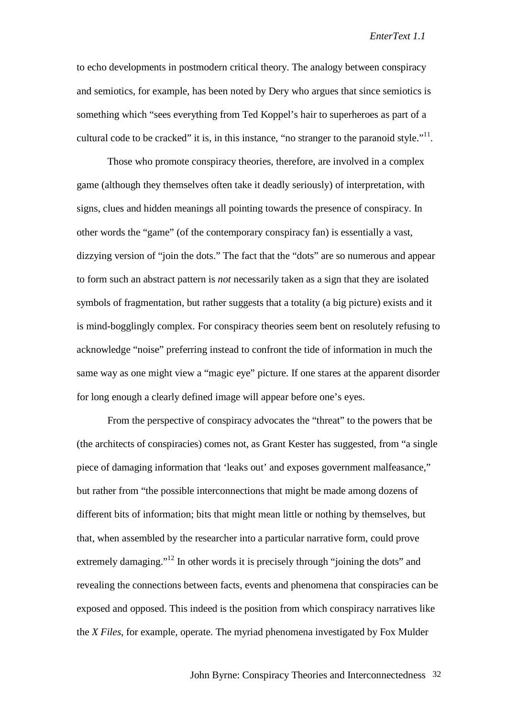to echo developments in postmodern critical theory. The analogy between conspiracy and semiotics, for example, has been noted by Dery who argues that since semiotics is something which "sees everything from Ted Koppel's hair to superheroes as part of a cultural code to be cracked" it is, in this instance, "no stranger to the paranoid style." $\cdot$ <sup>11</sup>.

Those who promote conspiracy theories, therefore, are involved in a complex game (although they themselves often take it deadly seriously) of interpretation, with signs, clues and hidden meanings all pointing towards the presence of conspiracy. In other words the "game" (of the contemporary conspiracy fan) is essentially a vast, dizzying version of "join the dots." The fact that the "dots" are so numerous and appear to form such an abstract pattern is *not* necessarily taken as a sign that they are isolated symbols of fragmentation, but rather suggests that a totality (a big picture) exists and it is mind-bogglingly complex. For conspiracy theories seem bent on resolutely refusing to acknowledge "noise" preferring instead to confront the tide of information in much the same way as one might view a "magic eye" picture. If one stares at the apparent disorder for long enough a clearly defined image will appear before one's eyes.

From the perspective of conspiracy advocates the "threat" to the powers that be (the architects of conspiracies) comes not, as Grant Kester has suggested, from "a single piece of damaging information that 'leaks out' and exposes government malfeasance," but rather from "the possible interconnections that might be made among dozens of different bits of information; bits that might mean little or nothing by themselves, but that, when assembled by the researcher into a particular narrative form, could prove extremely damaging."<sup>12</sup> In other words it is precisely through "joining the dots" and revealing the connections between facts, events and phenomena that conspiracies can be exposed and opposed. This indeed is the position from which conspiracy narratives like the *X Files*, for example, operate. The myriad phenomena investigated by Fox Mulder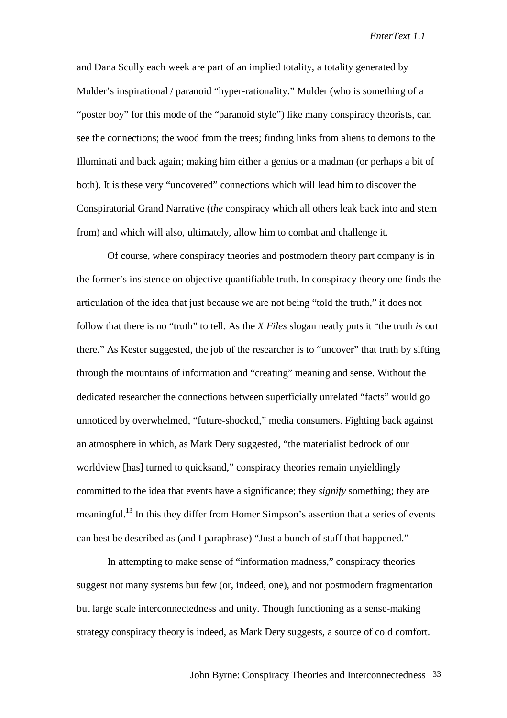and Dana Scully each week are part of an implied totality, a totality generated by Mulder's inspirational / paranoid "hyper-rationality." Mulder (who is something of a "poster boy" for this mode of the "paranoid style") like many conspiracy theorists, can see the connections; the wood from the trees; finding links from aliens to demons to the Illuminati and back again; making him either a genius or a madman (or perhaps a bit of both). It is these very "uncovered" connections which will lead him to discover the Conspiratorial Grand Narrative (*the* conspiracy which all others leak back into and stem from) and which will also, ultimately, allow him to combat and challenge it.

Of course, where conspiracy theories and postmodern theory part company is in the former's insistence on objective quantifiable truth. In conspiracy theory one finds the articulation of the idea that just because we are not being "told the truth," it does not follow that there is no "truth" to tell. As the *X Files* slogan neatly puts it "the truth *is* out there." As Kester suggested, the job of the researcher is to "uncover" that truth by sifting through the mountains of information and "creating" meaning and sense. Without the dedicated researcher the connections between superficially unrelated "facts" would go unnoticed by overwhelmed, "future-shocked," media consumers. Fighting back against an atmosphere in which, as Mark Dery suggested, "the materialist bedrock of our worldview [has] turned to quicksand," conspiracy theories remain unyieldingly committed to the idea that events have a significance; they *signify* something; they are meaningful.<sup>13</sup> In this they differ from Homer Simpson's assertion that a series of events can best be described as (and I paraphrase) "Just a bunch of stuff that happened."

In attempting to make sense of "information madness," conspiracy theories suggest not many systems but few (or, indeed, one), and not postmodern fragmentation but large scale interconnectedness and unity. Though functioning as a sense-making strategy conspiracy theory is indeed, as Mark Dery suggests, a source of cold comfort.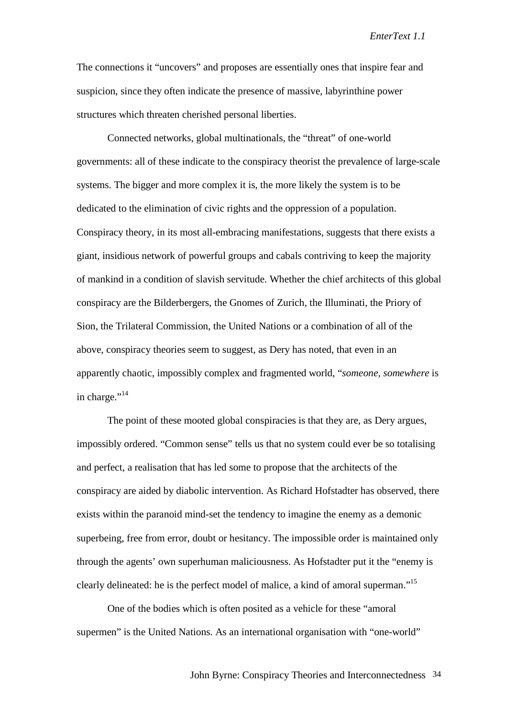The connections it "uncovers" and proposes are essentially ones that inspire fear and suspicion, since they often indicate the presence of massive, labyrinthine power structures which threaten cherished personal liberties.

Connected networks, global multinationals, the "threat" of one-world governments: all of these indicate to the conspiracy theorist the prevalence of large-scale systems. The bigger and more complex it is, the more likely the system is to be dedicated to the elimination of civic rights and the oppression of a population. Conspiracy theory, in its most all-embracing manifestations, suggests that there exists a giant, insidious network of powerful groups and cabals contriving to keep the majority of mankind in a condition of slavish servitude. Whether the chief architects of this global conspiracy are the Bilderbergers, the Gnomes of Zurich, the Illuminati, the Priory of Sion, the Trilateral Commission, the United Nations or a combination of all of the above, conspiracy theories seem to suggest, as Dery has noted, that even in an apparently chaotic, impossibly complex and fragmented world, "*someone, somewhere* is in charge."<sup>14</sup>

The point of these mooted global conspiracies is that they are, as Dery argues, impossibly ordered. "Common sense" tells us that no system could ever be so totalising and perfect, a realisation that has led some to propose that the architects of the conspiracy are aided by diabolic intervention. As Richard Hofstadter has observed, there exists within the paranoid mind-set the tendency to imagine the enemy as a demonic superbeing, free from error, doubt or hesitancy. The impossible order is maintained only through the agents' own superhuman maliciousness. As Hofstadter put it the "enemy is clearly delineated: he is the perfect model of malice, a kind of amoral superman."15

One of the bodies which is often posited as a vehicle for these "amoral supermen" is the United Nations. As an international organisation with "one-world"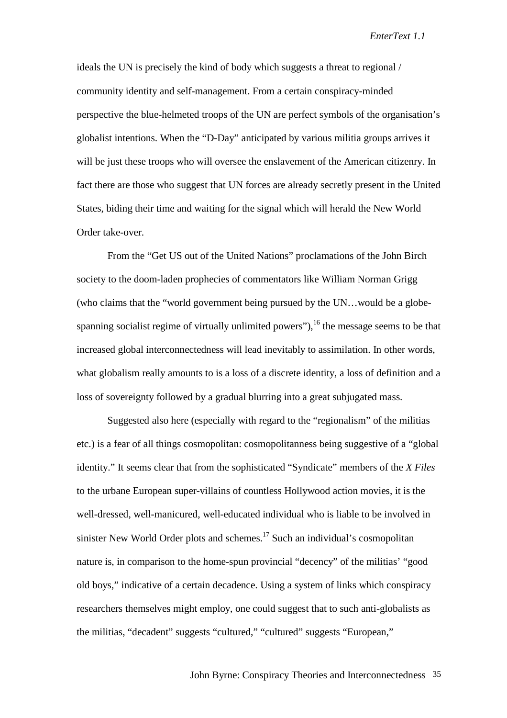ideals the UN is precisely the kind of body which suggests a threat to regional / community identity and self-management. From a certain conspiracy-minded perspective the blue-helmeted troops of the UN are perfect symbols of the organisation's globalist intentions. When the "D-Day" anticipated by various militia groups arrives it will be just these troops who will oversee the enslavement of the American citizenry. In fact there are those who suggest that UN forces are already secretly present in the United States, biding their time and waiting for the signal which will herald the New World Order take-over.

From the "Get US out of the United Nations" proclamations of the John Birch society to the doom-laden prophecies of commentators like William Norman Grigg (who claims that the "world government being pursued by the UN…would be a globespanning socialist regime of virtually unlimited powers"), $16$  the message seems to be that increased global interconnectedness will lead inevitably to assimilation. In other words, what globalism really amounts to is a loss of a discrete identity, a loss of definition and a loss of sovereignty followed by a gradual blurring into a great subjugated mass.

Suggested also here (especially with regard to the "regionalism" of the militias etc.) is a fear of all things cosmopolitan: cosmopolitanness being suggestive of a "global identity." It seems clear that from the sophisticated "Syndicate" members of the *X Files* to the urbane European super-villains of countless Hollywood action movies, it is the well-dressed, well-manicured, well-educated individual who is liable to be involved in sinister New World Order plots and schemes.<sup>17</sup> Such an individual's cosmopolitan nature is, in comparison to the home-spun provincial "decency" of the militias' "good old boys," indicative of a certain decadence. Using a system of links which conspiracy researchers themselves might employ, one could suggest that to such anti-globalists as the militias, "decadent" suggests "cultured," "cultured" suggests "European,"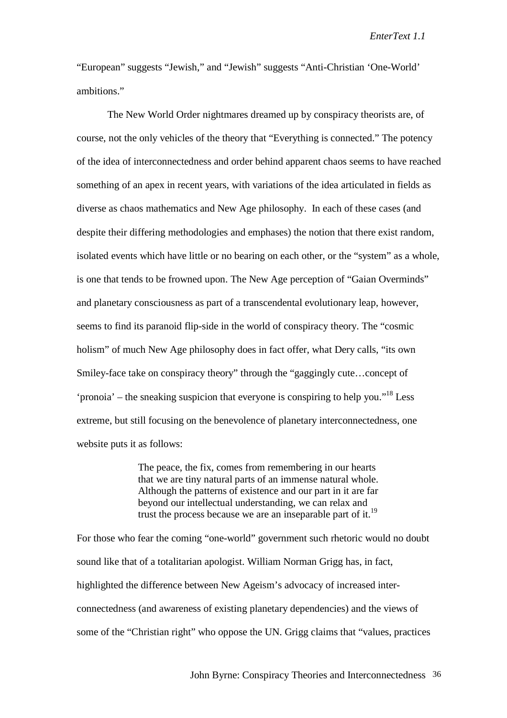"European" suggests "Jewish," and "Jewish" suggests "Anti-Christian 'One-World' ambitions."

The New World Order nightmares dreamed up by conspiracy theorists are, of course, not the only vehicles of the theory that "Everything is connected." The potency of the idea of interconnectedness and order behind apparent chaos seems to have reached something of an apex in recent years, with variations of the idea articulated in fields as diverse as chaos mathematics and New Age philosophy. In each of these cases (and despite their differing methodologies and emphases) the notion that there exist random, isolated events which have little or no bearing on each other, or the "system" as a whole, is one that tends to be frowned upon. The New Age perception of "Gaian Overminds" and planetary consciousness as part of a transcendental evolutionary leap, however, seems to find its paranoid flip-side in the world of conspiracy theory. The "cosmic holism" of much New Age philosophy does in fact offer, what Dery calls, "its own Smiley-face take on conspiracy theory" through the "gaggingly cute…concept of 'pronoia' – the sneaking suspicion that everyone is conspiring to help you."<sup>18</sup> Less extreme, but still focusing on the benevolence of planetary interconnectedness, one website puts it as follows:

> The peace, the fix, comes from remembering in our hearts that we are tiny natural parts of an immense natural whole. Although the patterns of existence and our part in it are far beyond our intellectual understanding, we can relax and trust the process because we are an inseparable part of it.<sup>19</sup>

For those who fear the coming "one-world" government such rhetoric would no doubt sound like that of a totalitarian apologist. William Norman Grigg has, in fact, highlighted the difference between New Ageism's advocacy of increased interconnectedness (and awareness of existing planetary dependencies) and the views of some of the "Christian right" who oppose the UN. Grigg claims that "values, practices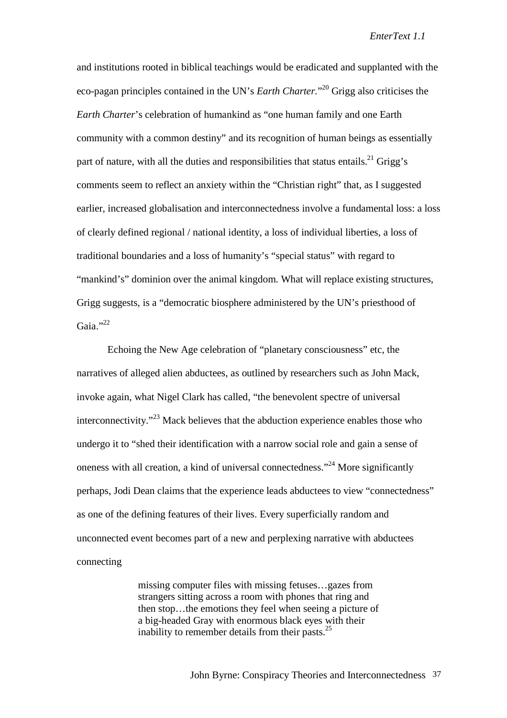and institutions rooted in biblical teachings would be eradicated and supplanted with the eco-pagan principles contained in the UN's *Earth Charter.*" 20 Grigg also criticises the *Earth Charter*'s celebration of humankind as "one human family and one Earth community with a common destiny" and its recognition of human beings as essentially part of nature, with all the duties and responsibilities that status entails.<sup>21</sup> Grigg's comments seem to reflect an anxiety within the "Christian right" that, as I suggested earlier, increased globalisation and interconnectedness involve a fundamental loss: a loss of clearly defined regional / national identity, a loss of individual liberties, a loss of traditional boundaries and a loss of humanity's "special status" with regard to "mankind's" dominion over the animal kingdom. What will replace existing structures, Grigg suggests, is a "democratic biosphere administered by the UN's priesthood of Gaia." $^{22}$ 

Echoing the New Age celebration of "planetary consciousness" etc, the narratives of alleged alien abductees, as outlined by researchers such as John Mack, invoke again, what Nigel Clark has called, "the benevolent spectre of universal interconnectivity."23 Mack believes that the abduction experience enables those who undergo it to "shed their identification with a narrow social role and gain a sense of oneness with all creation, a kind of universal connectedness."24 More significantly perhaps, Jodi Dean claims that the experience leads abductees to view "connectedness" as one of the defining features of their lives. Every superficially random and unconnected event becomes part of a new and perplexing narrative with abductees connecting

> missing computer files with missing fetuses…gazes from strangers sitting across a room with phones that ring and then stop…the emotions they feel when seeing a picture of a big-headed Gray with enormous black eyes with their inability to remember details from their pasts. $25$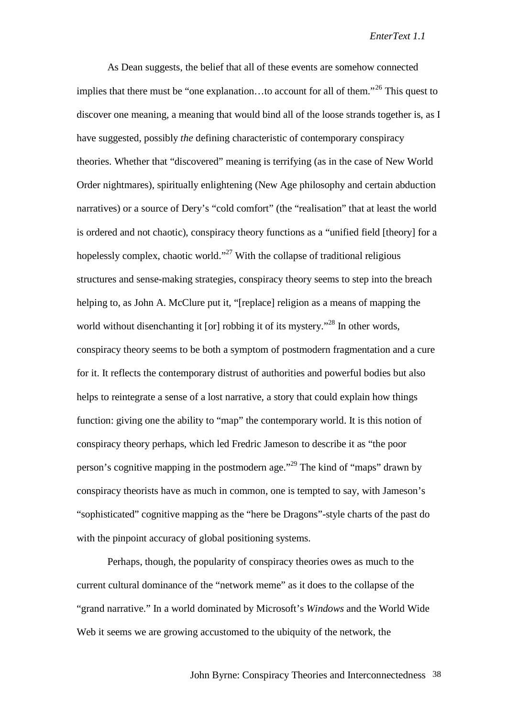As Dean suggests, the belief that all of these events are somehow connected implies that there must be "one explanation…to account for all of them."26 This quest to discover one meaning, a meaning that would bind all of the loose strands together is, as I have suggested, possibly *the* defining characteristic of contemporary conspiracy theories. Whether that "discovered" meaning is terrifying (as in the case of New World Order nightmares), spiritually enlightening (New Age philosophy and certain abduction narratives) or a source of Dery's "cold comfort" (the "realisation" that at least the world is ordered and not chaotic), conspiracy theory functions as a "unified field [theory] for a hopelessly complex, chaotic world."<sup>27</sup> With the collapse of traditional religious structures and sense-making strategies, conspiracy theory seems to step into the breach helping to, as John A. McClure put it, "[replace] religion as a means of mapping the world without disenchanting it [or] robbing it of its mystery."<sup>28</sup> In other words, conspiracy theory seems to be both a symptom of postmodern fragmentation and a cure for it. It reflects the contemporary distrust of authorities and powerful bodies but also helps to reintegrate a sense of a lost narrative, a story that could explain how things function: giving one the ability to "map" the contemporary world. It is this notion of conspiracy theory perhaps, which led Fredric Jameson to describe it as "the poor person's cognitive mapping in the postmodern age."29 The kind of "maps" drawn by conspiracy theorists have as much in common, one is tempted to say, with Jameson's "sophisticated" cognitive mapping as the "here be Dragons"-style charts of the past do with the pinpoint accuracy of global positioning systems.

Perhaps, though, the popularity of conspiracy theories owes as much to the current cultural dominance of the "network meme" as it does to the collapse of the "grand narrative." In a world dominated by Microsoft's *Windows* and the World Wide Web it seems we are growing accustomed to the ubiquity of the network, the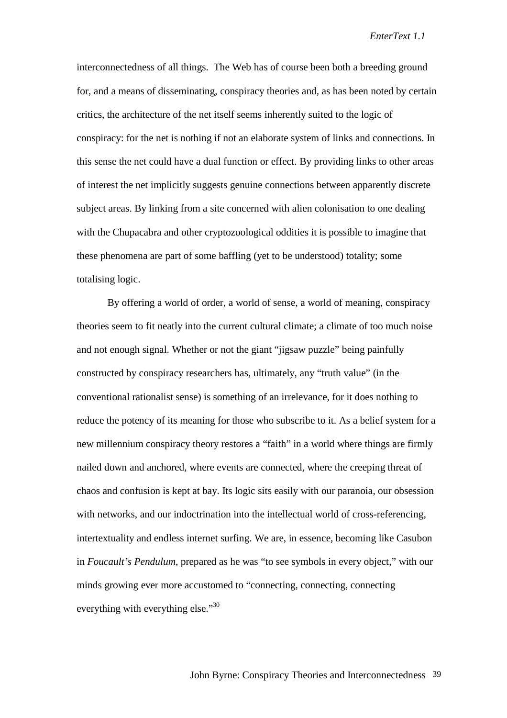interconnectedness of all things. The Web has of course been both a breeding ground for, and a means of disseminating, conspiracy theories and, as has been noted by certain critics, the architecture of the net itself seems inherently suited to the logic of conspiracy: for the net is nothing if not an elaborate system of links and connections. In this sense the net could have a dual function or effect. By providing links to other areas of interest the net implicitly suggests genuine connections between apparently discrete subject areas. By linking from a site concerned with alien colonisation to one dealing with the Chupacabra and other cryptozoological oddities it is possible to imagine that these phenomena are part of some baffling (yet to be understood) totality; some totalising logic.

By offering a world of order, a world of sense, a world of meaning, conspiracy theories seem to fit neatly into the current cultural climate; a climate of too much noise and not enough signal. Whether or not the giant "jigsaw puzzle" being painfully constructed by conspiracy researchers has, ultimately, any "truth value" (in the conventional rationalist sense) is something of an irrelevance, for it does nothing to reduce the potency of its meaning for those who subscribe to it. As a belief system for a new millennium conspiracy theory restores a "faith" in a world where things are firmly nailed down and anchored, where events are connected, where the creeping threat of chaos and confusion is kept at bay. Its logic sits easily with our paranoia, our obsession with networks, and our indoctrination into the intellectual world of cross-referencing, intertextuality and endless internet surfing. We are, in essence, becoming like Casubon in *Foucault's Pendulum*, prepared as he was "to see symbols in every object," with our minds growing ever more accustomed to "connecting, connecting, connecting everything with everything else."<sup>30</sup>